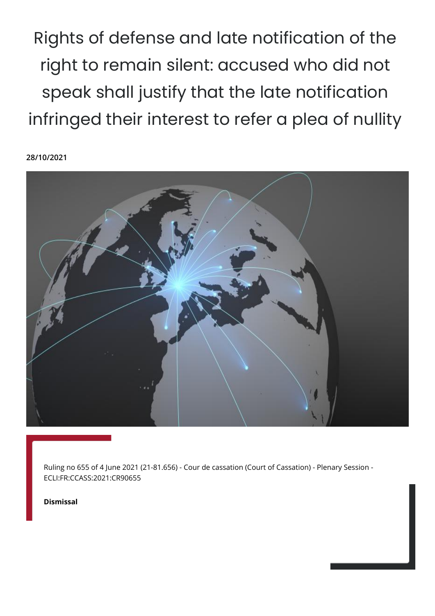Rights of defense and late notification of the right to remain silent: accused who did not speak shall justify that the late notification infringed their interest to refer a plea of nullity

**28/10/2021**



Ruling no 655 of 4 June 2021 (21-81.656) - Cour de cassation (Court of Cassation) - Plenary Session - ECLI:FR:CCASS:2021:CR90655

**Dismissal**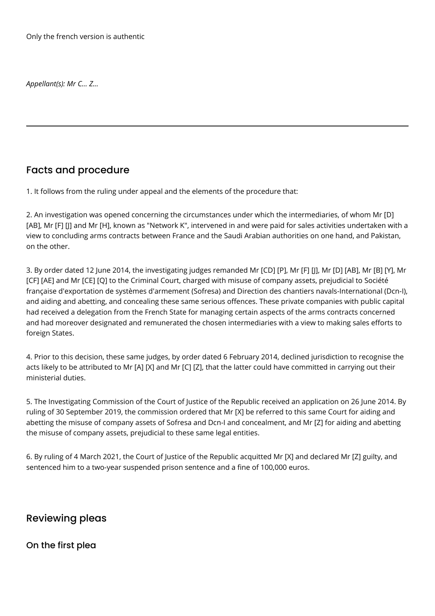*Appellant(s): Mr C... Z...*

# Facts and procedure

1. It follows from the ruling under appeal and the elements of the procedure that:

2. An investigation was opened concerning the circumstances under which the intermediaries, of whom Mr [D] [AB], Mr [F] [J] and Mr [H], known as "Network K", intervened in and were paid for sales activities undertaken with a view to concluding arms contracts between France and the Saudi Arabian authorities on one hand, and Pakistan, on the other.

3. By order dated 12 June 2014, the investigating judges remanded Mr [CD] [P], Mr [F] [J], Mr [D] [AB], Mr [B] [Y], Mr [CF] [AE] and Mr [CE] [Q] to the Criminal Court, charged with misuse of company assets, prejudicial to Société française d'exportation de systèmes d'armement (Sofresa) and Direction des chantiers navals-International (Dcn-I), and aiding and abetting, and concealing these same serious offences. These private companies with public capital had received a delegation from the French State for managing certain aspects of the arms contracts concerned and had moreover designated and remunerated the chosen intermediaries with a view to making sales efforts to foreign States.

4. Prior to this decision, these same judges, by order dated 6 February 2014, declined jurisdiction to recognise the acts likely to be attributed to Mr [A] [X] and Mr [C] [Z], that the latter could have committed in carrying out their ministerial duties.

5. The Investigating Commission of the Court of Justice of the Republic received an application on 26 June 2014. By ruling of 30 September 2019, the commission ordered that Mr [X] be referred to this same Court for aiding and abetting the misuse of company assets of Sofresa and Dcn-I and concealment, and Mr [Z] for aiding and abetting the misuse of company assets, prejudicial to these same legal entities.

6. By ruling of 4 March 2021, the Court of Justice of the Republic acquitted Mr [X] and declared Mr [Z] guilty, and sentenced him to a two-year suspended prison sentence and a fine of 100,000 euros.

# Reviewing pleas

#### On the first plea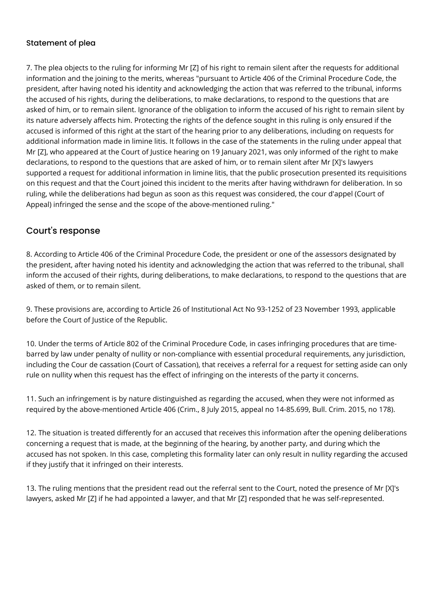#### Statement of plea

7. The plea objects to the ruling for informing Mr [Z] of his right to remain silent after the requests for additional information and the joining to the merits, whereas "pursuant to Article 406 of the Criminal Procedure Code, the president, after having noted his identity and acknowledging the action that was referred to the tribunal, informs the accused of his rights, during the deliberations, to make declarations, to respond to the questions that are asked of him, or to remain silent. Ignorance of the obligation to inform the accused of his right to remain silent by its nature adversely affects him. Protecting the rights of the defence sought in this ruling is only ensured if the accused is informed of this right at the start of the hearing prior to any deliberations, including on requests for additional information made in limine litis. It follows in the case of the statements in the ruling under appeal that Mr [Z], who appeared at the Court of Justice hearing on 19 January 2021, was only informed of the right to make declarations, to respond to the questions that are asked of him, or to remain silent after Mr [X]'s lawyers supported a request for additional information in limine litis, that the public prosecution presented its requisitions on this request and that the Court joined this incident to the merits after having withdrawn for deliberation. In so ruling, while the deliberations had begun as soon as this request was considered, the cour d'appel (Court of Appeal) infringed the sense and the scope of the above-mentioned ruling."

### Court's response

8. According to Article 406 of the Criminal Procedure Code, the president or one of the assessors designated by the president, after having noted his identity and acknowledging the action that was referred to the tribunal, shall inform the accused of their rights, during deliberations, to make declarations, to respond to the questions that are asked of them, or to remain silent.

9. These provisions are, according to Article 26 of Institutional Act No 93-1252 of 23 November 1993, applicable before the Court of Justice of the Republic.

10. Under the terms of Article 802 of the Criminal Procedure Code, in cases infringing procedures that are timebarred by law under penalty of nullity or non-compliance with essential procedural requirements, any jurisdiction, including the Cour de cassation (Court of Cassation), that receives a referral for a request for setting aside can only rule on nullity when this request has the effect of infringing on the interests of the party it concerns.

11. Such an infringement is by nature distinguished as regarding the accused, when they were not informed as required by the above-mentioned Article 406 (Crim., 8 July 2015, appeal no 14-85.699, Bull. Crim. 2015, no 178).

12. The situation is treated differently for an accused that receives this information after the opening deliberations concerning a request that is made, at the beginning of the hearing, by another party, and during which the accused has not spoken. In this case, completing this formality later can only result in nullity regarding the accused if they justify that it infringed on their interests.

13. The ruling mentions that the president read out the referral sent to the Court, noted the presence of Mr [X]'s lawyers, asked Mr [Z] if he had appointed a lawyer, and that Mr [Z] responded that he was self-represented.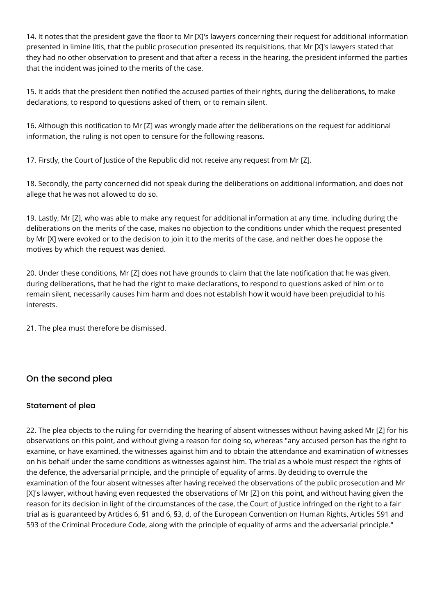14. It notes that the president gave the floor to Mr [X]'s lawyers concerning their request for additional information presented in limine litis, that the public prosecution presented its requisitions, that Mr [X]'s lawyers stated that they had no other observation to present and that after a recess in the hearing, the president informed the parties that the incident was joined to the merits of the case.

15. It adds that the president then notified the accused parties of their rights, during the deliberations, to make declarations, to respond to questions asked of them, or to remain silent.

16. Although this notification to Mr [Z] was wrongly made after the deliberations on the request for additional information, the ruling is not open to censure for the following reasons.

17. Firstly, the Court of Justice of the Republic did not receive any request from Mr [Z].

18. Secondly, the party concerned did not speak during the deliberations on additional information, and does not allege that he was not allowed to do so.

19. Lastly, Mr [Z], who was able to make any request for additional information at any time, including during the deliberations on the merits of the case, makes no objection to the conditions under which the request presented by Mr [X] were evoked or to the decision to join it to the merits of the case, and neither does he oppose the motives by which the request was denied.

20. Under these conditions, Mr [Z] does not have grounds to claim that the late notification that he was given, during deliberations, that he had the right to make declarations, to respond to questions asked of him or to remain silent, necessarily causes him harm and does not establish how it would have been prejudicial to his interests.

21. The plea must therefore be dismissed.

# On the second plea

#### Statement of plea

22. The plea objects to the ruling for overriding the hearing of absent witnesses without having asked Mr [Z] for his observations on this point, and without giving a reason for doing so, whereas "any accused person has the right to examine, or have examined, the witnesses against him and to obtain the attendance and examination of witnesses on his behalf under the same conditions as witnesses against him. The trial as a whole must respect the rights of the defence, the adversarial principle, and the principle of equality of arms. By deciding to overrule the examination of the four absent witnesses after having received the observations of the public prosecution and Mr [X]'s lawyer, without having even requested the observations of Mr [Z] on this point, and without having given the reason for its decision in light of the circumstances of the case, the Court of Justice infringed on the right to a fair trial as is guaranteed by Articles 6, §1 and 6, §3, d, of the European Convention on Human Rights, Articles 591 and 593 of the Criminal Procedure Code, along with the principle of equality of arms and the adversarial principle."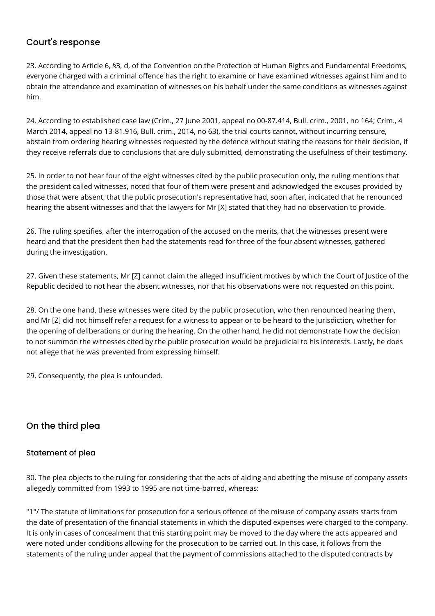### Court's response

23. According to Article 6, §3, d, of the Convention on the Protection of Human Rights and Fundamental Freedoms, everyone charged with a criminal offence has the right to examine or have examined witnesses against him and to obtain the attendance and examination of witnesses on his behalf under the same conditions as witnesses against him.

24. According to established case law (Crim., 27 June 2001, appeal no 00-87.414, Bull. crim., 2001, no 164; Crim., 4 March 2014, appeal no 13-81.916, Bull. crim., 2014, no 63), the trial courts cannot, without incurring censure, abstain from ordering hearing witnesses requested by the defence without stating the reasons for their decision, if they receive referrals due to conclusions that are duly submitted, demonstrating the usefulness of their testimony.

25. In order to not hear four of the eight witnesses cited by the public prosecution only, the ruling mentions that the president called witnesses, noted that four of them were present and acknowledged the excuses provided by those that were absent, that the public prosecution's representative had, soon after, indicated that he renounced hearing the absent witnesses and that the lawyers for Mr [X] stated that they had no observation to provide.

26. The ruling specifies, after the interrogation of the accused on the merits, that the witnesses present were heard and that the president then had the statements read for three of the four absent witnesses, gathered during the investigation.

27. Given these statements, Mr [Z] cannot claim the alleged insufficient motives by which the Court of Justice of the Republic decided to not hear the absent witnesses, nor that his observations were not requested on this point.

28. On the one hand, these witnesses were cited by the public prosecution, who then renounced hearing them, and Mr [Z] did not himself refer a request for a witness to appear or to be heard to the jurisdiction, whether for the opening of deliberations or during the hearing. On the other hand, he did not demonstrate how the decision to not summon the witnesses cited by the public prosecution would be prejudicial to his interests. Lastly, he does not allege that he was prevented from expressing himself.

29. Consequently, the plea is unfounded.

# On the third plea

#### Statement of plea

30. The plea objects to the ruling for considering that the acts of aiding and abetting the misuse of company assets allegedly committed from 1993 to 1995 are not time-barred, whereas:

"1°/ The statute of limitations for prosecution for a serious offence of the misuse of company assets starts from the date of presentation of the financial statements in which the disputed expenses were charged to the company. It is only in cases of concealment that this starting point may be moved to the day where the acts appeared and were noted under conditions allowing for the prosecution to be carried out. In this case, it follows from the statements of the ruling under appeal that the payment of commissions attached to the disputed contracts by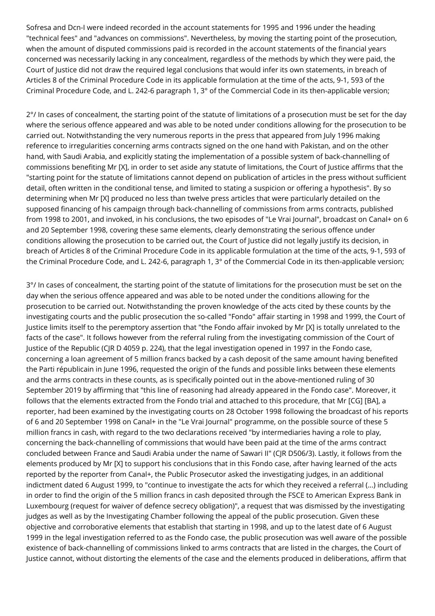Sofresa and Dcn-I were indeed recorded in the account statements for 1995 and 1996 under the heading "technical fees" and "advances on commissions". Nevertheless, by moving the starting point of the prosecution, when the amount of disputed commissions paid is recorded in the account statements of the financial years concerned was necessarily lacking in any concealment, regardless of the methods by which they were paid, the Court of Justice did not draw the required legal conclusions that would infer its own statements, in breach of Articles 8 of the Criminal Procedure Code in its applicable formulation at the time of the acts, 9-1, 593 of the Criminal Procedure Code, and L. 242-6 paragraph 1, 3° of the Commercial Code in its then-applicable version;

2°/ In cases of concealment, the starting point of the statute of limitations of a prosecution must be set for the day where the serious offence appeared and was able to be noted under conditions allowing for the prosecution to be carried out. Notwithstanding the very numerous reports in the press that appeared from July 1996 making reference to irregularities concerning arms contracts signed on the one hand with Pakistan, and on the other hand, with Saudi Arabia, and explicitly stating the implementation of a possible system of back-channelling of commissions benefiting Mr [X], in order to set aside any statute of limitations, the Court of Justice affirms that the "starting point for the statute of limitations cannot depend on publication of articles in the press without sufficient detail, often written in the conditional tense, and limited to stating a suspicion or offering a hypothesis". By so determining when Mr [X] produced no less than twelve press articles that were particularly detailed on the supposed financing of his campaign through back-channelling of commissions from arms contracts, published from 1998 to 2001, and invoked, in his conclusions, the two episodes of "Le Vrai Journal", broadcast on Canal+ on 6 and 20 September 1998, covering these same elements, clearly demonstrating the serious offence under conditions allowing the prosecution to be carried out, the Court of Justice did not legally justify its decision, in breach of Articles 8 of the Criminal Procedure Code in its applicable formulation at the time of the acts, 9-1, 593 of the Criminal Procedure Code, and L. 242-6, paragraph 1, 3° of the Commercial Code in its then-applicable version;

3°/ In cases of concealment, the starting point of the statute of limitations for the prosecution must be set on the day when the serious offence appeared and was able to be noted under the conditions allowing for the prosecution to be carried out. Notwithstanding the proven knowledge of the acts cited by these counts by the investigating courts and the public prosecution the so-called "Fondo" affair starting in 1998 and 1999, the Court of Justice limits itself to the peremptory assertion that "the Fondo affair invoked by Mr [X] is totally unrelated to the facts of the case". It follows however from the referral ruling from the investigating commission of the Court of Justice of the Republic (CJR D 4059 p. 224), that the legal investigation opened in 1997 in the Fondo case, concerning a loan agreement of 5 million francs backed by a cash deposit of the same amount having benefited the Parti républicain in June 1996, requested the origin of the funds and possible links between these elements and the arms contracts in these counts, as is specifically pointed out in the above-mentioned ruling of 30 September 2019 by affirming that "this line of reasoning had already appeared in the Fondo case". Moreover, it follows that the elements extracted from the Fondo trial and attached to this procedure, that Mr [CG] [BA], a reporter, had been examined by the investigating courts on 28 October 1998 following the broadcast of his reports of 6 and 20 September 1998 on Canal+ in the "Le Vrai Journal" programme, on the possible source of these 5 million francs in cash, with regard to the two declarations received "by intermediaries having a role to play, concerning the back-channelling of commissions that would have been paid at the time of the arms contract concluded between France and Saudi Arabia under the name of Sawari II" (CJR D506/3). Lastly, it follows from the elements produced by Mr [X] to support his conclusions that in this Fondo case, after having learned of the acts reported by the reporter from Canal+, the Public Prosecutor asked the investigating judges, in an additional indictment dated 6 August 1999, to "continue to investigate the acts for which they received a referral (...) including in order to find the origin of the 5 million francs in cash deposited through the FSCE to American Express Bank in Luxembourg (request for waiver of defence secrecy obligation)", a request that was dismissed by the investigating judges as well as by the Investigating Chamber following the appeal of the public prosecution. Given these objective and corroborative elements that establish that starting in 1998, and up to the latest date of 6 August 1999 in the legal investigation referred to as the Fondo case, the public prosecution was well aware of the possible existence of back-channelling of commissions linked to arms contracts that are listed in the charges, the Court of Justice cannot, without distorting the elements of the case and the elements produced in deliberations, affirm that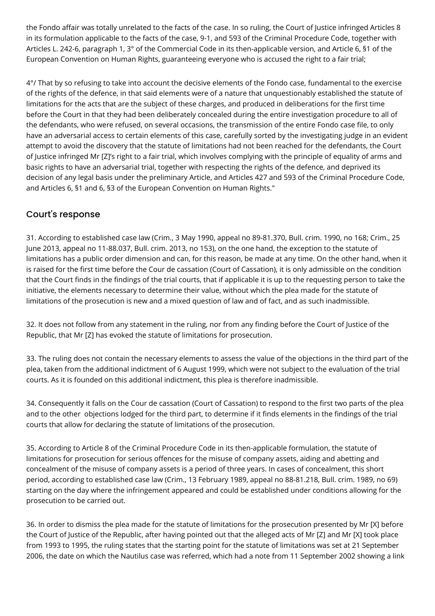the Fondo affair was totally unrelated to the facts of the case. In so ruling, the Court of Justice infringed Articles 8 in its formulation applicable to the facts of the case, 9-1, and 593 of the Criminal Procedure Code, together with Articles L. 242-6, paragraph 1, 3° of the Commercial Code in its then-applicable version, and Article 6, §1 of the European Convention on Human Rights, guaranteeing everyone who is accused the right to a fair trial;

4°/ That by so refusing to take into account the decisive elements of the Fondo case, fundamental to the exercise of the rights of the defence, in that said elements were of a nature that unquestionably established the statute of limitations for the acts that are the subject of these charges, and produced in deliberations for the first time before the Court in that they had been deliberately concealed during the entire investigation procedure to all of the defendants, who were refused, on several occasions, the transmission of the entire Fondo case file, to only have an adversarial access to certain elements of this case, carefully sorted by the investigating judge in an evident attempt to avoid the discovery that the statute of limitations had not been reached for the defendants, the Court of Justice infringed Mr [Z]'s right to a fair trial, which involves complying with the principle of equality of arms and basic rights to have an adversarial trial, together with respecting the rights of the defence, and deprived its decision of any legal basis under the preliminary Article, and Articles 427 and 593 of the Criminal Procedure Code, and Articles 6, §1 and 6, §3 of the European Convention on Human Rights."

# Court's response

31. According to established case law (Crim., 3 May 1990, appeal no 89-81.370, Bull. crim. 1990, no 168; Crim., 25 June 2013, appeal no 11-88.037, Bull. crim. 2013, no 153), on the one hand, the exception to the statute of limitations has a public order dimension and can, for this reason, be made at any time. On the other hand, when it is raised for the first time before the Cour de cassation (Court of Cassation), it is only admissible on the condition that the Court finds in the findings of the trial courts, that if applicable it is up to the requesting person to take the initiative, the elements necessary to determine their value, without which the plea made for the statute of limitations of the prosecution is new and a mixed question of law and of fact, and as such inadmissible.

32. It does not follow from any statement in the ruling, nor from any finding before the Court of Justice of the Republic, that Mr [Z] has evoked the statute of limitations for prosecution.

33. The ruling does not contain the necessary elements to assess the value of the objections in the third part of the plea, taken from the additional indictment of 6 August 1999, which were not subject to the evaluation of the trial courts. As it is founded on this additional indictment, this plea is therefore inadmissible.

34. Consequently it falls on the Cour de cassation (Court of Cassation) to respond to the first two parts of the plea and to the other objections lodged for the third part, to determine if it finds elements in the findings of the trial courts that allow for declaring the statute of limitations of the prosecution.

35. According to Article 8 of the Criminal Procedure Code in its then-applicable formulation, the statute of limitations for prosecution for serious offences for the misuse of company assets, aiding and abetting and concealment of the misuse of company assets is a period of three years. In cases of concealment, this short period, according to established case law (Crim., 13 February 1989, appeal no 88-81.218, Bull. crim. 1989, no 69) starting on the day where the infringement appeared and could be established under conditions allowing for the prosecution to be carried out.

36. In order to dismiss the plea made for the statute of limitations for the prosecution presented by Mr [X] before the Court of Justice of the Republic, after having pointed out that the alleged acts of Mr [Z] and Mr [X] took place from 1993 to 1995, the ruling states that the starting point for the statute of limitations was set at 21 September 2006, the date on which the Nautilus case was referred, which had a note from 11 September 2002 showing a link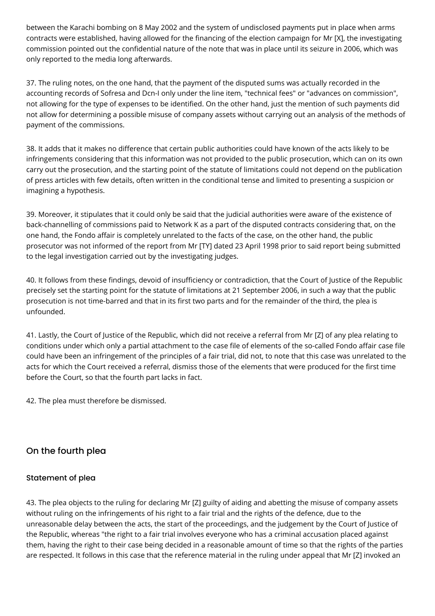between the Karachi bombing on 8 May 2002 and the system of undisclosed payments put in place when arms contracts were established, having allowed for the financing of the election campaign for Mr [X], the investigating commission pointed out the confidential nature of the note that was in place until its seizure in 2006, which was only reported to the media long afterwards.

37. The ruling notes, on the one hand, that the payment of the disputed sums was actually recorded in the accounting records of Sofresa and Dcn-I only under the line item, "technical fees" or "advances on commission", not allowing for the type of expenses to be identified. On the other hand, just the mention of such payments did not allow for determining a possible misuse of company assets without carrying out an analysis of the methods of payment of the commissions.

38. It adds that it makes no difference that certain public authorities could have known of the acts likely to be infringements considering that this information was not provided to the public prosecution, which can on its own carry out the prosecution, and the starting point of the statute of limitations could not depend on the publication of press articles with few details, often written in the conditional tense and limited to presenting a suspicion or imagining a hypothesis.

39. Moreover, it stipulates that it could only be said that the judicial authorities were aware of the existence of back-channelling of commissions paid to Network K as a part of the disputed contracts considering that, on the one hand, the Fondo affair is completely unrelated to the facts of the case, on the other hand, the public prosecutor was not informed of the report from Mr [TY] dated 23 April 1998 prior to said report being submitted to the legal investigation carried out by the investigating judges.

40. It follows from these findings, devoid of insufficiency or contradiction, that the Court of Justice of the Republic precisely set the starting point for the statute of limitations at 21 September 2006, in such a way that the public prosecution is not time-barred and that in its first two parts and for the remainder of the third, the plea is unfounded.

41. Lastly, the Court of Justice of the Republic, which did not receive a referral from Mr [Z] of any plea relating to conditions under which only a partial attachment to the case file of elements of the so-called Fondo affair case file could have been an infringement of the principles of a fair trial, did not, to note that this case was unrelated to the acts for which the Court received a referral, dismiss those of the elements that were produced for the first time before the Court, so that the fourth part lacks in fact.

42. The plea must therefore be dismissed.

# On the fourth plea

#### Statement of plea

43. The plea objects to the ruling for declaring Mr [Z] guilty of aiding and abetting the misuse of company assets without ruling on the infringements of his right to a fair trial and the rights of the defence, due to the unreasonable delay between the acts, the start of the proceedings, and the judgement by the Court of Justice of the Republic, whereas "the right to a fair trial involves everyone who has a criminal accusation placed against them, having the right to their case being decided in a reasonable amount of time so that the rights of the parties are respected. It follows in this case that the reference material in the ruling under appeal that Mr [Z] invoked an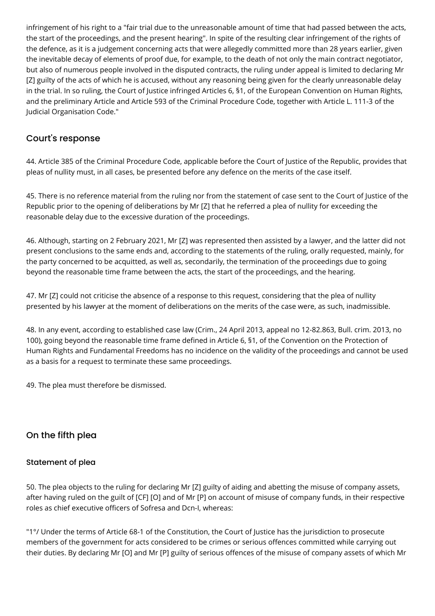infringement of his right to a "fair trial due to the unreasonable amount of time that had passed between the acts, the start of the proceedings, and the present hearing". In spite of the resulting clear infringement of the rights of the defence, as it is a judgement concerning acts that were allegedly committed more than 28 years earlier, given the inevitable decay of elements of proof due, for example, to the death of not only the main contract negotiator, but also of numerous people involved in the disputed contracts, the ruling under appeal is limited to declaring Mr [Z] guilty of the acts of which he is accused, without any reasoning being given for the clearly unreasonable delay in the trial. In so ruling, the Court of Justice infringed Articles 6, §1, of the European Convention on Human Rights, and the preliminary Article and Article 593 of the Criminal Procedure Code, together with Article L. 111-3 of the Judicial Organisation Code."

### Court's response

44. Article 385 of the Criminal Procedure Code, applicable before the Court of Justice of the Republic, provides that pleas of nullity must, in all cases, be presented before any defence on the merits of the case itself.

45. There is no reference material from the ruling nor from the statement of case sent to the Court of Justice of the Republic prior to the opening of deliberations by Mr [Z] that he referred a plea of nullity for exceeding the reasonable delay due to the excessive duration of the proceedings.

46. Although, starting on 2 February 2021, Mr [Z] was represented then assisted by a lawyer, and the latter did not present conclusions to the same ends and, according to the statements of the ruling, orally requested, mainly, for the party concerned to be acquitted, as well as, secondarily, the termination of the proceedings due to going beyond the reasonable time frame between the acts, the start of the proceedings, and the hearing.

47. Mr [Z] could not criticise the absence of a response to this request, considering that the plea of nullity presented by his lawyer at the moment of deliberations on the merits of the case were, as such, inadmissible.

48. In any event, according to established case law (Crim., 24 April 2013, appeal no 12-82.863, Bull. crim. 2013, no 100), going beyond the reasonable time frame defined in Article 6, §1, of the Convention on the Protection of Human Rights and Fundamental Freedoms has no incidence on the validity of the proceedings and cannot be used as a basis for a request to terminate these same proceedings.

49. The plea must therefore be dismissed.

# On the fifth plea

#### Statement of plea

50. The plea objects to the ruling for declaring Mr [Z] guilty of aiding and abetting the misuse of company assets, after having ruled on the guilt of [CF] [O] and of Mr [P] on account of misuse of company funds, in their respective roles as chief executive officers of Sofresa and Dcn-I, whereas:

"1°/ Under the terms of Article 68-1 of the Constitution, the Court of Justice has the jurisdiction to prosecute members of the government for acts considered to be crimes or serious offences committed while carrying out their duties. By declaring Mr [O] and Mr [P] guilty of serious offences of the misuse of company assets of which Mr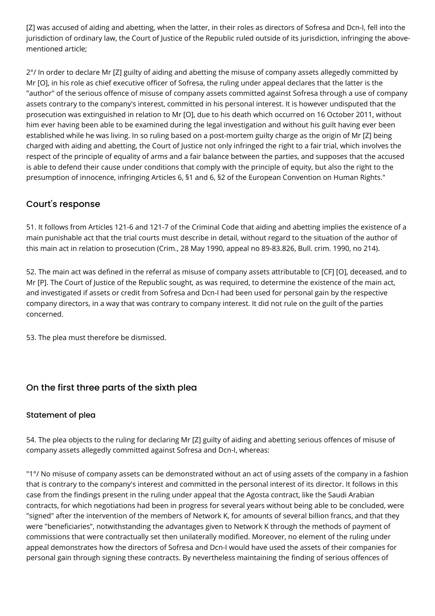[Z] was accused of aiding and abetting, when the latter, in their roles as directors of Sofresa and Dcn-I, fell into the jurisdiction of ordinary law, the Court of Justice of the Republic ruled outside of its jurisdiction, infringing the abovementioned article;

2°/ In order to declare Mr [Z] guilty of aiding and abetting the misuse of company assets allegedly committed by Mr [O], in his role as chief executive officer of Sofresa, the ruling under appeal declares that the latter is the "author" of the serious offence of misuse of company assets committed against Sofresa through a use of company assets contrary to the company's interest, committed in his personal interest. It is however undisputed that the prosecution was extinguished in relation to Mr [O], due to his death which occurred on 16 October 2011, without him ever having been able to be examined during the legal investigation and without his guilt having ever been established while he was living. In so ruling based on a post-mortem guilty charge as the origin of Mr [Z] being charged with aiding and abetting, the Court of Justice not only infringed the right to a fair trial, which involves the respect of the principle of equality of arms and a fair balance between the parties, and supposes that the accused is able to defend their cause under conditions that comply with the principle of equity, but also the right to the presumption of innocence, infringing Articles 6, §1 and 6, §2 of the European Convention on Human Rights."

# Court's response

51. It follows from Articles 121-6 and 121-7 of the Criminal Code that aiding and abetting implies the existence of a main punishable act that the trial courts must describe in detail, without regard to the situation of the author of this main act in relation to prosecution (Crim., 28 May 1990, appeal no 89-83.826, Bull. crim. 1990, no 214).

52. The main act was defined in the referral as misuse of company assets attributable to [CF] [O], deceased, and to Mr [P]. The Court of Justice of the Republic sought, as was required, to determine the existence of the main act, and investigated if assets or credit from Sofresa and Dcn-I had been used for personal gain by the respective company directors, in a way that was contrary to company interest. It did not rule on the guilt of the parties concerned.

53. The plea must therefore be dismissed.

# On the first three parts of the sixth plea

#### Statement of plea

54. The plea objects to the ruling for declaring Mr [Z] guilty of aiding and abetting serious offences of misuse of company assets allegedly committed against Sofresa and Dcn-I, whereas:

"1°/ No misuse of company assets can be demonstrated without an act of using assets of the company in a fashion that is contrary to the company's interest and committed in the personal interest of its director. It follows in this case from the findings present in the ruling under appeal that the Agosta contract, like the Saudi Arabian contracts, for which negotiations had been in progress for several years without being able to be concluded, were "signed" after the intervention of the members of Network K, for amounts of several billion francs, and that they were "beneficiaries", notwithstanding the advantages given to Network K through the methods of payment of commissions that were contractually set then unilaterally modified. Moreover, no element of the ruling under appeal demonstrates how the directors of Sofresa and Dcn-I would have used the assets of their companies for personal gain through signing these contracts. By nevertheless maintaining the finding of serious offences of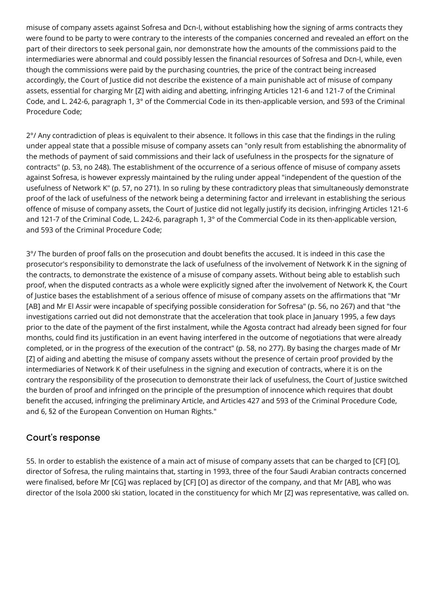misuse of company assets against Sofresa and Dcn-I, without establishing how the signing of arms contracts they were found to be party to were contrary to the interests of the companies concerned and revealed an effort on the part of their directors to seek personal gain, nor demonstrate how the amounts of the commissions paid to the intermediaries were abnormal and could possibly lessen the financial resources of Sofresa and Dcn-I, while, even though the commissions were paid by the purchasing countries, the price of the contract being increased accordingly, the Court of Justice did not describe the existence of a main punishable act of misuse of company assets, essential for charging Mr [Z] with aiding and abetting, infringing Articles 121-6 and 121-7 of the Criminal Code, and L. 242-6, paragraph 1, 3° of the Commercial Code in its then-applicable version, and 593 of the Criminal Procedure Code;

 $2^{\circ}$ / Any contradiction of pleas is equivalent to their absence. It follows in this case that the findings in the ruling under appeal state that a possible misuse of company assets can "only result from establishing the abnormality of the methods of payment of said commissions and their lack of usefulness in the prospects for the signature of contracts" (p. 53, no 248). The establishment of the occurrence of a serious offence of misuse of company assets against Sofresa, is however expressly maintained by the ruling under appeal "independent of the question of the usefulness of Network K" (p. 57, no 271). In so ruling by these contradictory pleas that simultaneously demonstrate proof of the lack of usefulness of the network being a determining factor and irrelevant in establishing the serious offence of misuse of company assets, the Court of Justice did not legally justify its decision, infringing Articles 121-6 and 121-7 of the Criminal Code, L. 242-6, paragraph 1, 3° of the Commercial Code in its then-applicable version, and 593 of the Criminal Procedure Code;

3°/ The burden of proof falls on the prosecution and doubt benefits the accused. It is indeed in this case the prosecutor's responsibility to demonstrate the lack of usefulness of the involvement of Network K in the signing of the contracts, to demonstrate the existence of a misuse of company assets. Without being able to establish such proof, when the disputed contracts as a whole were explicitly signed after the involvement of Network K, the Court of Justice bases the establishment of a serious offence of misuse of company assets on the affirmations that "Mr [AB] and Mr El Assir were incapable of specifying possible consideration for Sofresa" (p. 56, no 267) and that "the investigations carried out did not demonstrate that the acceleration that took place in January 1995, a few days prior to the date of the payment of the first instalment, while the Agosta contract had already been signed for four months, could find its justification in an event having interfered in the outcome of negotiations that were already completed, or in the progress of the execution of the contract" (p. 58, no 277). By basing the charges made of Mr [Z] of aiding and abetting the misuse of company assets without the presence of certain proof provided by the intermediaries of Network K of their usefulness in the signing and execution of contracts, where it is on the contrary the responsibility of the prosecution to demonstrate their lack of usefulness, the Court of Justice switched the burden of proof and infringed on the principle of the presumption of innocence which requires that doubt benefit the accused, infringing the preliminary Article, and Articles 427 and 593 of the Criminal Procedure Code, and 6, §2 of the European Convention on Human Rights."

# Court's response

55. In order to establish the existence of a main act of misuse of company assets that can be charged to [CF] [O], director of Sofresa, the ruling maintains that, starting in 1993, three of the four Saudi Arabian contracts concerned were finalised, before Mr [CG] was replaced by [CF] [O] as director of the company, and that Mr [AB], who was director of the Isola 2000 ski station, located in the constituency for which Mr [Z] was representative, was called on.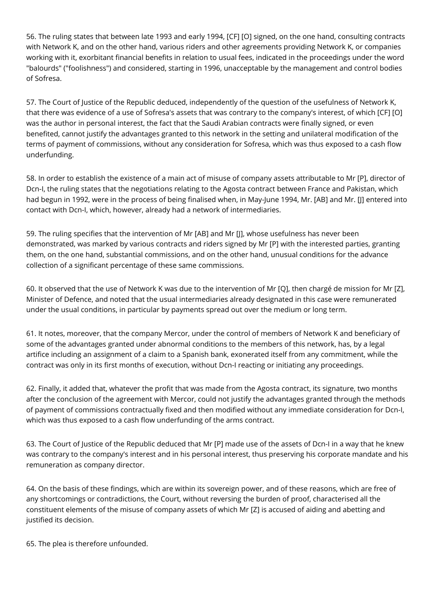56. The ruling states that between late 1993 and early 1994, [CF] [O] signed, on the one hand, consulting contracts with Network K, and on the other hand, various riders and other agreements providing Network K, or companies working with it, exorbitant financial benefits in relation to usual fees, indicated in the proceedings under the word "balourds" ("foolishness") and considered, starting in 1996, unacceptable by the management and control bodies of Sofresa.

57. The Court of Justice of the Republic deduced, independently of the question of the usefulness of Network K, that there was evidence of a use of Sofresa's assets that was contrary to the company's interest, of which [CF] [O] was the author in personal interest, the fact that the Saudi Arabian contracts were finally signed, or even benefited, cannot justify the advantages granted to this network in the setting and unilateral modification of the terms of payment of commissions, without any consideration for Sofresa, which was thus exposed to a cash flow underfunding.

58. In order to establish the existence of a main act of misuse of company assets attributable to Mr [P], director of Dcn-I, the ruling states that the negotiations relating to the Agosta contract between France and Pakistan, which had begun in 1992, were in the process of being finalised when, in May-June 1994, Mr. [AB] and Mr. [I] entered into contact with Dcn-I, which, however, already had a network of intermediaries.

59. The ruling specifies that the intervention of Mr [AB] and Mr [J], whose usefulness has never been demonstrated, was marked by various contracts and riders signed by Mr [P] with the interested parties, granting them, on the one hand, substantial commissions, and on the other hand, unusual conditions for the advance collection of a significant percentage of these same commissions.

60. It observed that the use of Network K was due to the intervention of Mr [Q], then chargé de mission for Mr [Z], Minister of Defence, and noted that the usual intermediaries already designated in this case were remunerated under the usual conditions, in particular by payments spread out over the medium or long term.

61. It notes, moreover, that the company Mercor, under the control of members of Network K and beneficiary of some of the advantages granted under abnormal conditions to the members of this network, has, by a legal artifice including an assignment of a claim to a Spanish bank, exonerated itself from any commitment, while the contract was only in its first months of execution, without Dcn-I reacting or initiating any proceedings.

62. Finally, it added that, whatever the profit that was made from the Agosta contract, its signature, two months after the conclusion of the agreement with Mercor, could not justify the advantages granted through the methods of payment of commissions contractually fixed and then modified without any immediate consideration for Dcn-I, which was thus exposed to a cash flow underfunding of the arms contract.

63. The Court of Justice of the Republic deduced that Mr [P] made use of the assets of Dcn-I in a way that he knew was contrary to the company's interest and in his personal interest, thus preserving his corporate mandate and his remuneration as company director.

64. On the basis of these findings, which are within its sovereign power, and of these reasons, which are free of any shortcomings or contradictions, the Court, without reversing the burden of proof, characterised all the constituent elements of the misuse of company assets of which Mr [Z] is accused of aiding and abetting and justified its decision.

65. The plea is therefore unfounded.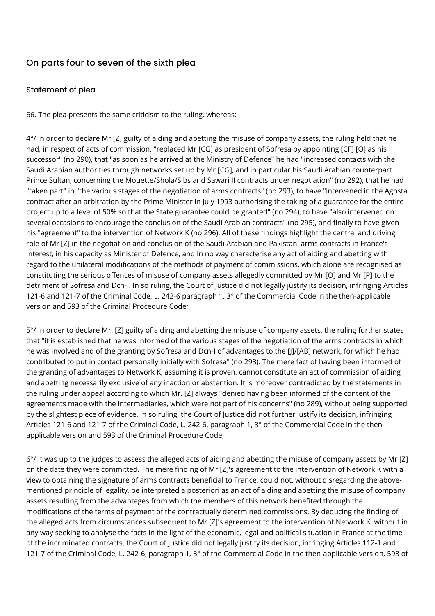# On parts four to seven of the sixth plea

#### Statement of plea

66. The plea presents the same criticism to the ruling, whereas:

4°/ In order to declare Mr [Z] guilty of aiding and abetting the misuse of company assets, the ruling held that he had, in respect of acts of commission, "replaced Mr [CG] as president of Sofresa by appointing [CF] [O] as his successor" (no 290), that "as soon as he arrived at the Ministry of Defence" he had "increased contacts with the Saudi Arabian authorities through networks set up by Mr [CG], and in particular his Saudi Arabian counterpart Prince Sultan, concerning the Mouette/Shola/Slbs and Sawari II contracts under negotiation" (no 292), that he had "taken part" in "the various stages of the negotiation of arms contracts" (no 293), to have "intervened in the Agosta contract after an arbitration by the Prime Minister in July 1993 authorising the taking of a guarantee for the entire project up to a level of 50% so that the State guarantee could be granted" (no 294), to have "also intervened on several occasions to encourage the conclusion of the Saudi Arabian contracts" (no 295), and finally to have given his "agreement" to the intervention of Network K (no 296). All of these findings highlight the central and driving role of Mr [Z] in the negotiation and conclusion of the Saudi Arabian and Pakistani arms contracts in France's interest, in his capacity as Minister of Defence, and in no way characterise any act of aiding and abetting with regard to the unilateral modifications of the methods of payment of commissions, which alone are recognised as constituting the serious offences of misuse of company assets allegedly committed by Mr [O] and Mr [P] to the detriment of Sofresa and Dcn-I. In so ruling, the Court of Justice did not legally justify its decision, infringing Articles 121-6 and 121-7 of the Criminal Code, L. 242-6 paragraph 1, 3° of the Commercial Code in the then-applicable version and 593 of the Criminal Procedure Code;

5°/ In order to declare Mr. [Z] guilty of aiding and abetting the misuse of company assets, the ruling further states that "it is established that he was informed of the various stages of the negotiation of the arms contracts in which he was involved and of the granting by Sofresa and Dcn-I of advantages to the [J]/[AB] network, for which he had contributed to put in contact personally initially with Sofresa" (no 293). The mere fact of having been informed of the granting of advantages to Network K, assuming it is proven, cannot constitute an act of commission of aiding and abetting necessarily exclusive of any inaction or abstention. It is moreover contradicted by the statements in the ruling under appeal according to which Mr. [Z] always "denied having been informed of the content of the agreements made with the intermediaries, which were not part of his concerns" (no 289), without being supported by the slightest piece of evidence. In so ruling, the Court of Justice did not further justify its decision, infringing Articles 121-6 and 121-7 of the Criminal Code, L. 242-6, paragraph 1, 3° of the Commercial Code in the thenapplicable version and 593 of the Criminal Procedure Code;

6°/ It was up to the judges to assess the alleged acts of aiding and abetting the misuse of company assets by Mr [Z] on the date they were committed. The mere finding of Mr [Z]'s agreement to the intervention of Network K with a view to obtaining the signature of arms contracts beneficial to France, could not, without disregarding the abovementioned principle of legality, be interpreted a posteriori as an act of aiding and abetting the misuse of company assets resulting from the advantages from which the members of this network benefited through the modifications of the terms of payment of the contractually determined commissions. By deducing the finding of the alleged acts from circumstances subsequent to Mr [Z]'s agreement to the intervention of Network K, without in any way seeking to analyse the facts in the light of the economic, legal and political situation in France at the time of the incriminated contracts, the Court of Justice did not legally justify its decision, infringing Articles 112-1 and 121-7 of the Criminal Code, L. 242-6, paragraph 1, 3° of the Commercial Code in the then-applicable version, 593 of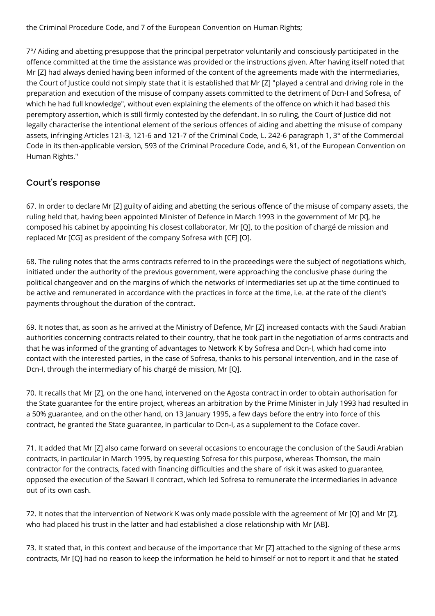the Criminal Procedure Code, and 7 of the European Convention on Human Rights;

7°/ Aiding and abetting presuppose that the principal perpetrator voluntarily and consciously participated in the offence committed at the time the assistance was provided or the instructions given. After having itself noted that Mr [Z] had always denied having been informed of the content of the agreements made with the intermediaries, the Court of Justice could not simply state that it is established that Mr [Z] "played a central and driving role in the preparation and execution of the misuse of company assets committed to the detriment of Dcn-I and Sofresa, of which he had full knowledge", without even explaining the elements of the offence on which it had based this peremptory assertion, which is still firmly contested by the defendant. In so ruling, the Court of Justice did not legally characterise the intentional element of the serious offences of aiding and abetting the misuse of company assets, infringing Articles 121-3, 121-6 and 121-7 of the Criminal Code, L. 242-6 paragraph 1, 3° of the Commercial Code in its then-applicable version, 593 of the Criminal Procedure Code, and 6, §1, of the European Convention on Human Rights."

# Court's response

67. In order to declare Mr [Z] guilty of aiding and abetting the serious offence of the misuse of company assets, the ruling held that, having been appointed Minister of Defence in March 1993 in the government of Mr [X], he composed his cabinet by appointing his closest collaborator, Mr [Q], to the position of chargé de mission and replaced Mr [CG] as president of the company Sofresa with [CF] [O].

68. The ruling notes that the arms contracts referred to in the proceedings were the subject of negotiations which, initiated under the authority of the previous government, were approaching the conclusive phase during the political changeover and on the margins of which the networks of intermediaries set up at the time continued to be active and remunerated in accordance with the practices in force at the time, i.e. at the rate of the client's payments throughout the duration of the contract.

69. It notes that, as soon as he arrived at the Ministry of Defence, Mr [Z] increased contacts with the Saudi Arabian authorities concerning contracts related to their country, that he took part in the negotiation of arms contracts and that he was informed of the granting of advantages to Network K by Sofresa and Dcn-I, which had come into contact with the interested parties, in the case of Sofresa, thanks to his personal intervention, and in the case of Dcn-I, through the intermediary of his chargé de mission, Mr [Q].

70. It recalls that Mr [Z], on the one hand, intervened on the Agosta contract in order to obtain authorisation for the State guarantee for the entire project, whereas an arbitration by the Prime Minister in July 1993 had resulted in a 50% guarantee, and on the other hand, on 13 January 1995, a few days before the entry into force of this contract, he granted the State guarantee, in particular to Dcn-I, as a supplement to the Coface cover.

71. It added that Mr [Z] also came forward on several occasions to encourage the conclusion of the Saudi Arabian contracts, in particular in March 1995, by requesting Sofresa for this purpose, whereas Thomson, the main contractor for the contracts, faced with financing difficulties and the share of risk it was asked to guarantee, opposed the execution of the Sawari II contract, which led Sofresa to remunerate the intermediaries in advance out of its own cash.

72. It notes that the intervention of Network K was only made possible with the agreement of Mr [Q] and Mr [Z], who had placed his trust in the latter and had established a close relationship with Mr [AB].

73. It stated that, in this context and because of the importance that Mr [Z] attached to the signing of these arms contracts, Mr [Q] had no reason to keep the information he held to himself or not to report it and that he stated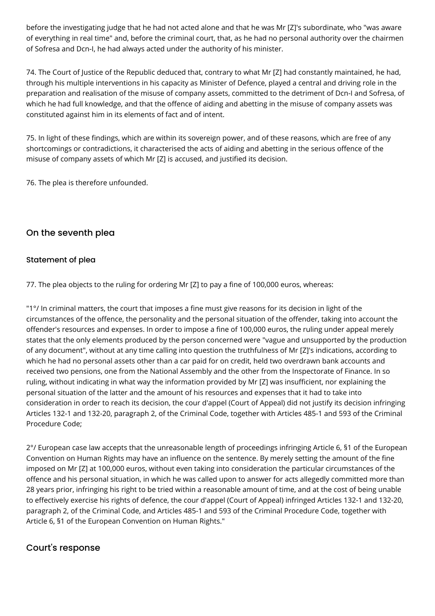before the investigating judge that he had not acted alone and that he was Mr [Z]'s subordinate, who "was aware of everything in real time" and, before the criminal court, that, as he had no personal authority over the chairmen of Sofresa and Dcn-I, he had always acted under the authority of his minister.

74. The Court of Justice of the Republic deduced that, contrary to what Mr [Z] had constantly maintained, he had, through his multiple interventions in his capacity as Minister of Defence, played a central and driving role in the preparation and realisation of the misuse of company assets, committed to the detriment of Dcn-I and Sofresa, of which he had full knowledge, and that the offence of aiding and abetting in the misuse of company assets was constituted against him in its elements of fact and of intent.

75. In light of these findings, which are within its sovereign power, and of these reasons, which are free of any shortcomings or contradictions, it characterised the acts of aiding and abetting in the serious offence of the misuse of company assets of which Mr [Z] is accused, and justified its decision.

76. The plea is therefore unfounded.

# On the seventh plea

#### Statement of plea

77. The plea objects to the ruling for ordering Mr [Z] to pay a fine of 100,000 euros, whereas:

"1°/ In criminal matters, the court that imposes a fine must give reasons for its decision in light of the circumstances of the offence, the personality and the personal situation of the offender, taking into account the offender's resources and expenses. In order to impose a fine of 100,000 euros, the ruling under appeal merely states that the only elements produced by the person concerned were "vague and unsupported by the production of any document", without at any time calling into question the truthfulness of Mr [Z]'s indications, according to which he had no personal assets other than a car paid for on credit, held two overdrawn bank accounts and received two pensions, one from the National Assembly and the other from the Inspectorate of Finance. In so ruling, without indicating in what way the information provided by Mr [Z] was insufficient, nor explaining the personal situation of the latter and the amount of his resources and expenses that it had to take into consideration in order to reach its decision, the cour d'appel (Court of Appeal) did not justify its decision infringing Articles 132-1 and 132-20, paragraph 2, of the Criminal Code, together with Articles 485-1 and 593 of the Criminal Procedure Code;

2°/ European case law accepts that the unreasonable length of proceedings infringing Article 6, §1 of the European Convention on Human Rights may have an influence on the sentence. By merely setting the amount of the fine imposed on Mr [Z] at 100,000 euros, without even taking into consideration the particular circumstances of the offence and his personal situation, in which he was called upon to answer for acts allegedly committed more than 28 years prior, infringing his right to be tried within a reasonable amount of time, and at the cost of being unable to effectively exercise his rights of defence, the cour d'appel (Court of Appeal) infringed Articles 132-1 and 132-20, paragraph 2, of the Criminal Code, and Articles 485-1 and 593 of the Criminal Procedure Code, together with Article 6, §1 of the European Convention on Human Rights."

# Court's response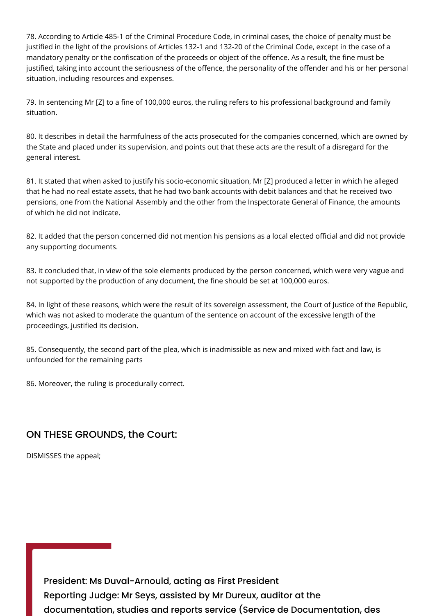78. According to Article 485-1 of the Criminal Procedure Code, in criminal cases, the choice of penalty must be justified in the light of the provisions of Articles 132-1 and 132-20 of the Criminal Code, except in the case of a mandatory penalty or the confiscation of the proceeds or object of the offence. As a result, the fine must be justified, taking into account the seriousness of the offence, the personality of the offender and his or her personal situation, including resources and expenses.

79. In sentencing Mr [Z] to a fine of 100,000 euros, the ruling refers to his professional background and family situation.

80. It describes in detail the harmfulness of the acts prosecuted for the companies concerned, which are owned by the State and placed under its supervision, and points out that these acts are the result of a disregard for the general interest.

81. It stated that when asked to justify his socio-economic situation, Mr [Z] produced a letter in which he alleged that he had no real estate assets, that he had two bank accounts with debit balances and that he received two pensions, one from the National Assembly and the other from the Inspectorate General of Finance, the amounts of which he did not indicate.

82. It added that the person concerned did not mention his pensions as a local elected official and did not provide any supporting documents.

83. It concluded that, in view of the sole elements produced by the person concerned, which were very vague and not supported by the production of any document, the fine should be set at 100,000 euros.

84. In light of these reasons, which were the result of its sovereign assessment, the Court of Justice of the Republic, which was not asked to moderate the quantum of the sentence on account of the excessive length of the proceedings, justified its decision.

85. Consequently, the second part of the plea, which is inadmissible as new and mixed with fact and law, is unfounded for the remaining parts

86. Moreover, the ruling is procedurally correct.

# ON THESE GROUNDS, the Court:

DISMISSES the appeal;

President: Ms Duval-Arnould, acting as First President Reporting Judge: Mr Seys, assisted by Mr Dureux, auditor at the documentation, studies and reports service (Service de Documentation, des